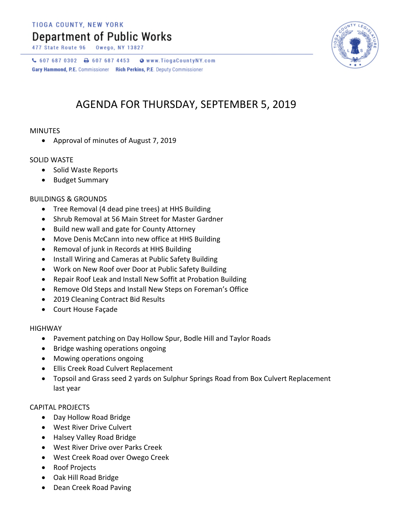TIOGA COUNTY, NEW YORK

## **Department of Public Works**

477 State Route 96



 $C$  607 687 0302  $D$  607 687 4453 Www.TiogaCountyNY.com Gary Hammond, P.E. Commissioner Rich Perkins, P.E. Deputy Commissioner

## AGENDA FOR THURSDAY, SEPTEMBER 5, 2019

#### MINUTES

• Approval of minutes of August 7, 2019

### SOLID WASTE

- Solid Waste Reports
- Budget Summary

#### BUILDINGS & GROUNDS

- Tree Removal (4 dead pine trees) at HHS Building
- Shrub Removal at 56 Main Street for Master Gardner
- Build new wall and gate for County Attorney
- Move Denis McCann into new office at HHS Building
- Removal of junk in Records at HHS Building
- Install Wiring and Cameras at Public Safety Building
- Work on New Roof over Door at Public Safety Building
- Repair Roof Leak and Install New Soffit at Probation Building
- Remove Old Steps and Install New Steps on Foreman's Office
- 2019 Cleaning Contract Bid Results
- Court House Façade

#### HIGHWAY

- Pavement patching on Day Hollow Spur, Bodle Hill and Taylor Roads
- Bridge washing operations ongoing
- Mowing operations ongoing
- Ellis Creek Road Culvert Replacement
- Topsoil and Grass seed 2 yards on Sulphur Springs Road from Box Culvert Replacement last year

#### CAPITAL PROJECTS

- Day Hollow Road Bridge
- West River Drive Culvert
- Halsey Valley Road Bridge
- West River Drive over Parks Creek
- West Creek Road over Owego Creek
- Roof Projects
- Oak Hill Road Bridge
- Dean Creek Road Paving